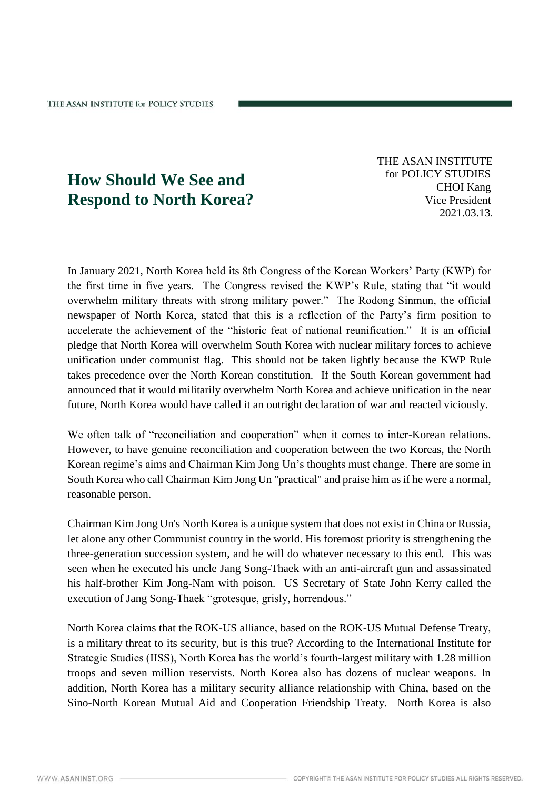## **How Should We See and Respond to North Korea?**

THE ASAN INSTITUTE for POLICY STUDIES CHOI Kang Vice President 2021.03.13.

In January 2021, North Korea held its 8th Congress of the Korean Workers' Party (KWP) for the first time in five years. The Congress revised the KWP's Rule, stating that "it would overwhelm military threats with strong military power." The Rodong Sinmun, the official newspaper of North Korea, stated that this is a reflection of the Party's firm position to accelerate the achievement of the "historic feat of national reunification." It is an official pledge that North Korea will overwhelm South Korea with nuclear military forces to achieve unification under communist flag. This should not be taken lightly because the KWP Rule takes precedence over the North Korean constitution. If the South Korean government had announced that it would militarily overwhelm North Korea and achieve unification in the near future, North Korea would have called it an outright declaration of war and reacted viciously.

We often talk of "reconciliation and cooperation" when it comes to inter-Korean relations. However, to have genuine reconciliation and cooperation between the two Koreas, the North Korean regime's aims and Chairman Kim Jong Un's thoughts must change. There are some in South Korea who call Chairman Kim Jong Un "practical" and praise him as if he were a normal, reasonable person.

Chairman Kim Jong Un's North Korea is a unique system that does not exist in China or Russia, let alone any other Communist country in the world. His foremost priority is strengthening the three-generation succession system, and he will do whatever necessary to this end. This was seen when he executed his uncle Jang Song-Thaek with an anti-aircraft gun and assassinated his half-brother Kim Jong-Nam with poison. US Secretary of State John Kerry called the execution of Jang Song-Thaek "grotesque, grisly, horrendous."

North Korea claims that the ROK-US alliance, based on the ROK-US Mutual Defense Treaty, is a military threat to its security, but is this true? According to the International Institute for Strategic Studies (IISS), North Korea has the world's fourth-largest military with 1.28 million troops and seven million reservists. North Korea also has dozens of nuclear weapons. In addition, North Korea has a military security alliance relationship with China, based on the Sino-North Korean Mutual Aid and Cooperation Friendship Treaty. North Korea is also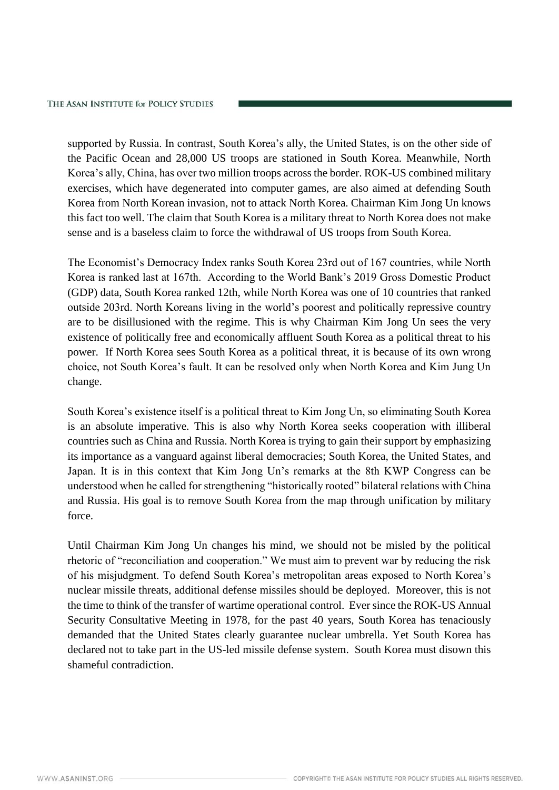supported by Russia. In contrast, South Korea's ally, the United States, is on the other side of the Pacific Ocean and 28,000 US troops are stationed in South Korea. Meanwhile, North Korea's ally, China, has over two million troops across the border. ROK-US combined military exercises, which have degenerated into computer games, are also aimed at defending South Korea from North Korean invasion, not to attack North Korea. Chairman Kim Jong Un knows this fact too well. The claim that South Korea is a military threat to North Korea does not make sense and is a baseless claim to force the withdrawal of US troops from South Korea.

The Economist's Democracy Index ranks South Korea 23rd out of 167 countries, while North Korea is ranked last at 167th. According to the World Bank's 2019 Gross Domestic Product (GDP) data, South Korea ranked 12th, while North Korea was one of 10 countries that ranked outside 203rd. North Koreans living in the world's poorest and politically repressive country are to be disillusioned with the regime. This is why Chairman Kim Jong Un sees the very existence of politically free and economically affluent South Korea as a political threat to his power. If North Korea sees South Korea as a political threat, it is because of its own wrong choice, not South Korea's fault. It can be resolved only when North Korea and Kim Jung Un change.

South Korea's existence itself is a political threat to Kim Jong Un, so eliminating South Korea is an absolute imperative. This is also why North Korea seeks cooperation with illiberal countries such as China and Russia. North Korea is trying to gain their support by emphasizing its importance as a vanguard against liberal democracies; South Korea, the United States, and Japan. It is in this context that Kim Jong Un's remarks at the 8th KWP Congress can be understood when he called for strengthening "historically rooted" bilateral relations with China and Russia. His goal is to remove South Korea from the map through unification by military force.

Until Chairman Kim Jong Un changes his mind, we should not be misled by the political rhetoric of "reconciliation and cooperation." We must aim to prevent war by reducing the risk of his misjudgment. To defend South Korea's metropolitan areas exposed to North Korea's nuclear missile threats, additional defense missiles should be deployed. Moreover, this is not the time to think of the transfer of wartime operational control. Ever since the ROK-US Annual Security Consultative Meeting in 1978, for the past 40 years, South Korea has tenaciously demanded that the United States clearly guarantee nuclear umbrella. Yet South Korea has declared not to take part in the US-led missile defense system. South Korea must disown this shameful contradiction.